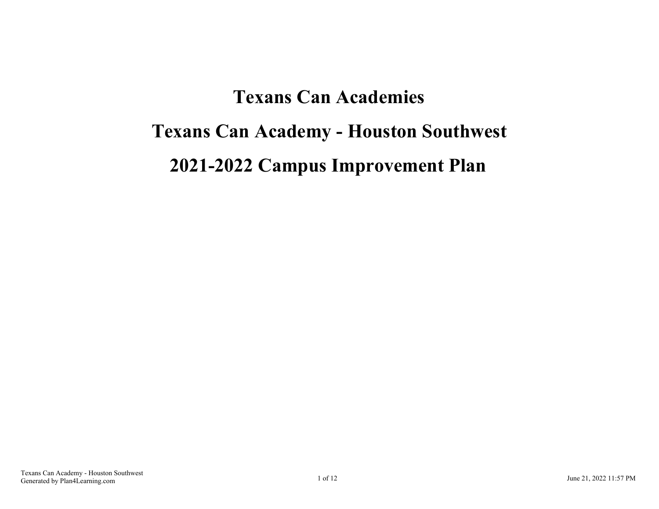# **Texans Can Academies Texans Can Academy - Houston Southwest 2021-2022 Campus Improvement Plan**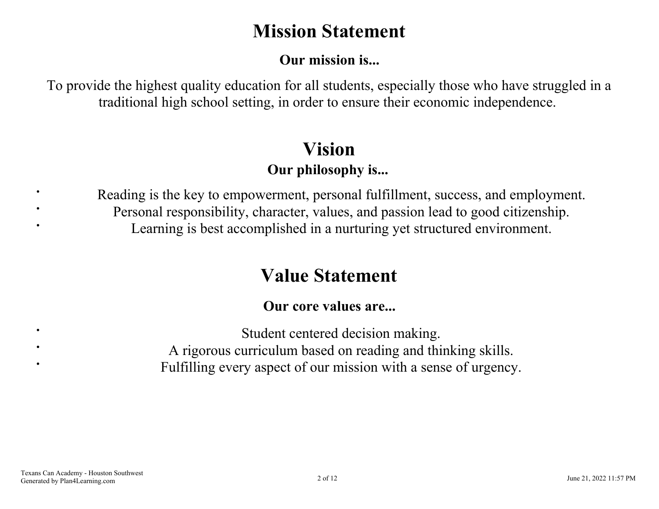# **Mission Statement**

# **Our mission is...**

<span id="page-1-0"></span>To provide the highest quality education for all students, especially those who have struggled in a traditional high school setting, in order to ensure their economic independence.

# **Vision Our philosophy is...**

Reading is the key to empowerment, personal fulfillment, success, and employment. Personal responsibility, character, values, and passion lead to good citizenship. Learning is best accomplished in a nurturing yet structured environment.

# **Value Statement**

# **Our core values are...**

Student centered decision making. A rigorous curriculum based on reading and thinking skills. Fulfilling every aspect of our mission with a sense of urgency.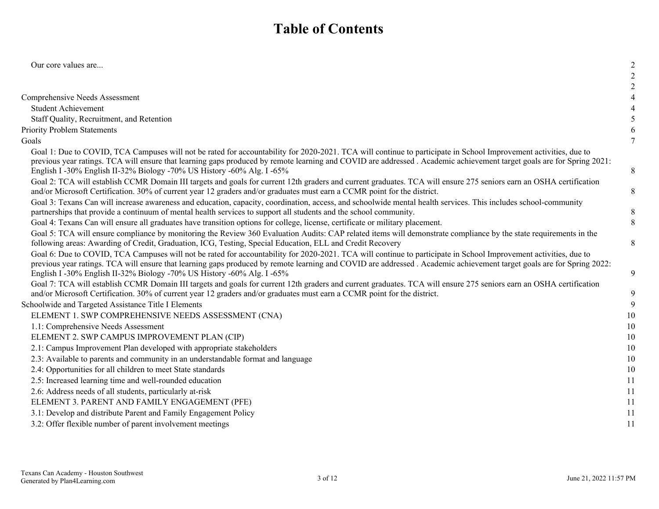# **Table of Contents**

| Our core values are                                                                                                                                                                                                                                                                                                                                                                                                 | $\overline{2}$ |
|---------------------------------------------------------------------------------------------------------------------------------------------------------------------------------------------------------------------------------------------------------------------------------------------------------------------------------------------------------------------------------------------------------------------|----------------|
|                                                                                                                                                                                                                                                                                                                                                                                                                     |                |
|                                                                                                                                                                                                                                                                                                                                                                                                                     |                |
| Comprehensive Needs Assessment                                                                                                                                                                                                                                                                                                                                                                                      |                |
| <b>Student Achievement</b>                                                                                                                                                                                                                                                                                                                                                                                          |                |
| Staff Quality, Recruitment, and Retention                                                                                                                                                                                                                                                                                                                                                                           | 5              |
| <b>Priority Problem Statements</b>                                                                                                                                                                                                                                                                                                                                                                                  | 6              |
| Goals                                                                                                                                                                                                                                                                                                                                                                                                               | $\overline{7}$ |
| Goal 1: Due to COVID, TCA Campuses will not be rated for accountability for 2020-2021. TCA will continue to participate in School Improvement activities, due to<br>previous year ratings. TCA will ensure that learning gaps produced by remote learning and COVID are addressed. Academic achievement target goals are for Spring 2021:<br>English I -30% English II-32% Biology -70% US History -60% Alg. I -65% | $\,8\,$        |
| Goal 2: TCA will establish CCMR Domain III targets and goals for current 12th graders and current graduates. TCA will ensure 275 seniors earn an OSHA certification<br>and/or Microsoft Certification. 30% of current year 12 graders and/or graduates must earn a CCMR point for the district.                                                                                                                     | $\,8\,$        |
| Goal 3: Texans Can will increase awareness and education, capacity, coordination, access, and schoolwide mental health services. This includes school-community<br>partnerships that provide a continuum of mental health services to support all students and the school community.                                                                                                                                | 8              |
| Goal 4: Texans Can will ensure all graduates have transition options for college, license, certificate or military placement.                                                                                                                                                                                                                                                                                       | 8              |
| Goal 5: TCA will ensure compliance by monitoring the Review 360 Evaluation Audits: CAP related items will demonstrate compliance by the state requirements in the<br>following areas: Awarding of Credit, Graduation, ICG, Testing, Special Education, ELL and Credit Recovery                                                                                                                                      | $\,8\,$        |
| Goal 6: Due to COVID, TCA Campuses will not be rated for accountability for 2020-2021. TCA will continue to participate in School Improvement activities, due to<br>previous year ratings. TCA will ensure that learning gaps produced by remote learning and COVID are addressed. Academic achievement target goals are for Spring 2022:<br>English I -30% English II-32% Biology -70% US History -60% Alg. I -65% | 9              |
| Goal 7: TCA will establish CCMR Domain III targets and goals for current 12th graders and current graduates. TCA will ensure 275 seniors earn an OSHA certification<br>and/or Microsoft Certification. 30% of current year 12 graders and/or graduates must earn a CCMR point for the district.                                                                                                                     | 9              |
| Schoolwide and Targeted Assistance Title I Elements                                                                                                                                                                                                                                                                                                                                                                 | 9              |
| ELEMENT 1. SWP COMPREHENSIVE NEEDS ASSESSMENT (CNA)                                                                                                                                                                                                                                                                                                                                                                 | 10             |
| 1.1: Comprehensive Needs Assessment                                                                                                                                                                                                                                                                                                                                                                                 | 10             |
| ELEMENT 2. SWP CAMPUS IMPROVEMENT PLAN (CIP)                                                                                                                                                                                                                                                                                                                                                                        | 10             |
| 2.1: Campus Improvement Plan developed with appropriate stakeholders                                                                                                                                                                                                                                                                                                                                                | 10             |
| 2.3: Available to parents and community in an understandable format and language                                                                                                                                                                                                                                                                                                                                    | 10             |
| 2.4: Opportunities for all children to meet State standards                                                                                                                                                                                                                                                                                                                                                         | 10             |
| 2.5: Increased learning time and well-rounded education                                                                                                                                                                                                                                                                                                                                                             | 11             |
| 2.6: Address needs of all students, particularly at-risk                                                                                                                                                                                                                                                                                                                                                            | 11             |
| ELEMENT 3. PARENT AND FAMILY ENGAGEMENT (PFE)                                                                                                                                                                                                                                                                                                                                                                       | 11             |
| 3.1: Develop and distribute Parent and Family Engagement Policy                                                                                                                                                                                                                                                                                                                                                     | 11             |
| 3.2: Offer flexible number of parent involvement meetings                                                                                                                                                                                                                                                                                                                                                           | 11             |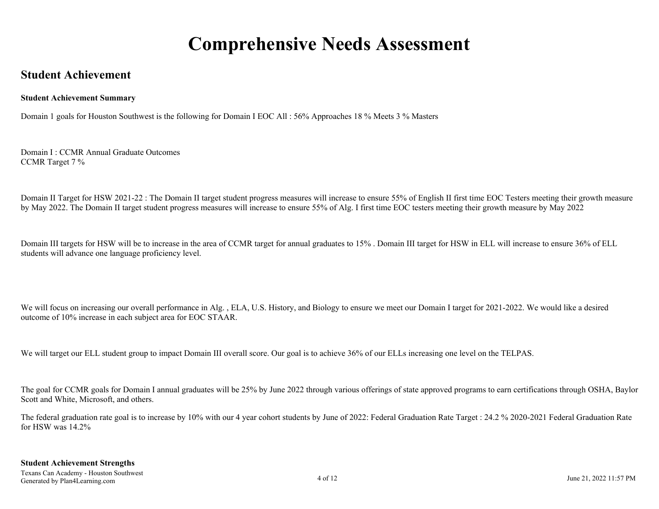# **Comprehensive Needs Assessment**

### <span id="page-3-0"></span>**Student Achievement**

#### **Student Achievement Summary**

Domain 1 goals for Houston Southwest is the following for Domain I EOC All : 56% Approaches 18 % Meets 3 % Masters

Domain I : CCMR Annual Graduate Outcomes CCMR Target 7 %

Domain II Target for HSW 2021-22 : The Domain II target student progress measures will increase to ensure 55% of English II first time EOC Testers meeting their growth measure by May 2022. The Domain II target student progress measures will increase to ensure 55% of Alg. I first time EOC testers meeting their growth measure by May 2022

Domain III targets for HSW will be to increase in the area of CCMR target for annual graduates to 15%. Domain III target for HSW in ELL will increase to ensure 36% of ELL students will advance one language proficiency level.

We will focus on increasing our overall performance in Alg., ELA, U.S. History, and Biology to ensure we meet our Domain I target for 2021-2022. We would like a desired outcome of 10% increase in each subject area for EOC STAAR.

We will target our ELL student group to impact Domain III overall score. Our goal is to achieve 36% of our ELLs increasing one level on the TELPAS.

The goal for CCMR goals for Domain I annual graduates will be 25% by June 2022 through various offerings of state approved programs to earn certifications through OSHA, Baylor Scott and White, Microsoft, and others.

The federal graduation rate goal is to increase by 10% with our 4 year cohort students by June of 2022: Federal Graduation Rate Target : 24.2 % 2020-2021 Federal Graduation Rate for HSW was 14.2%

#### **Student Achievement Strengths**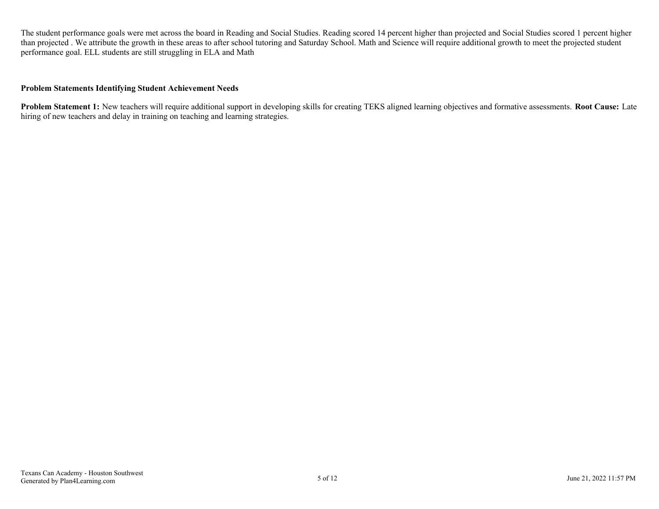The student performance goals were met across the board in Reading and Social Studies. Reading scored 14 percent higher than projected and Social Studies scored 1 percent higher than projected . We attribute the growth in these areas to after school tutoring and Saturday School. Math and Science will require additional growth to meet the projected student performance goal. ELL students are still struggling in ELA and Math

#### **Problem Statements Identifying Student Achievement Needs**

**Problem Statement 1:** New teachers will require additional support in developing skills for creating TEKS aligned learning objectives and formative assessments. **Root Cause:** Late hiring of new teachers and delay in training on teaching and learning strategies.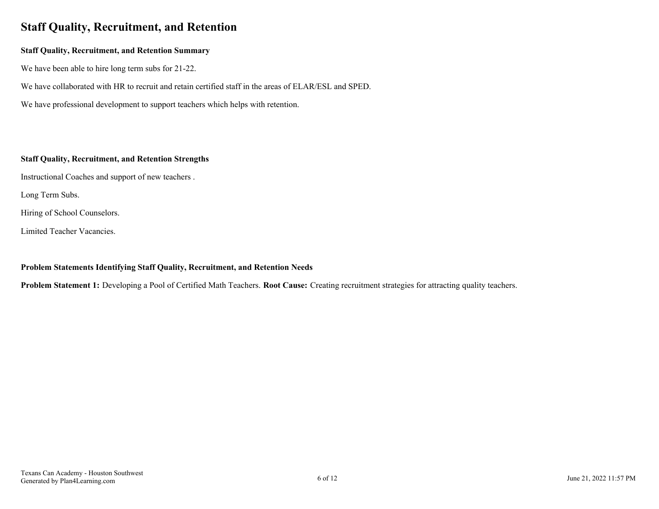# <span id="page-5-0"></span>**Staff Quality, Recruitment, and Retention**

#### **Staff Quality, Recruitment, and Retention Summary**

We have been able to hire long term subs for 21-22.

We have collaborated with HR to recruit and retain certified staff in the areas of ELAR/ESL and SPED.

We have professional development to support teachers which helps with retention.

#### **Staff Quality, Recruitment, and Retention Strengths**

Instructional Coaches and support of new teachers .

Long Term Subs.

Hiring of School Counselors.

Limited Teacher Vacancies.

#### **Problem Statements Identifying Staff Quality, Recruitment, and Retention Needs**

**Problem Statement 1:** Developing a Pool of Certified Math Teachers. **Root Cause:** Creating recruitment strategies for attracting quality teachers.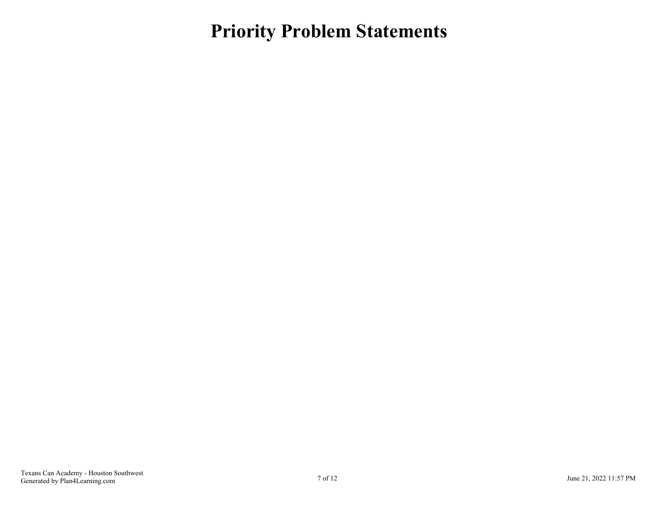<span id="page-6-0"></span>**Priority Problem Statements**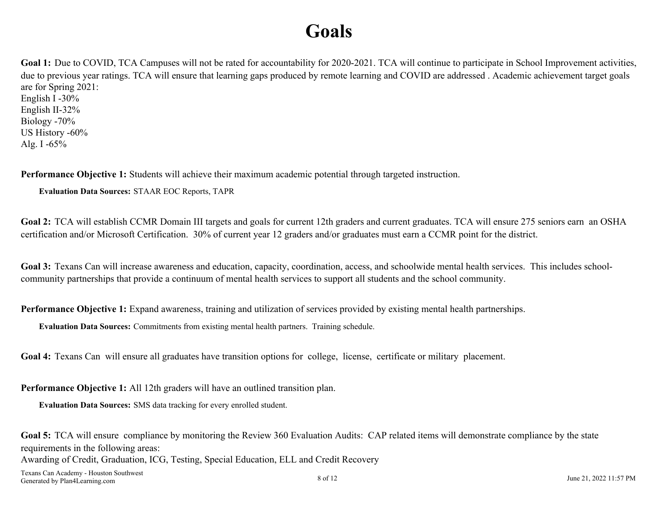# **Goals**

<span id="page-7-0"></span>Goal 1: Due to COVID, TCA Campuses will not be rated for accountability for 2020-2021. TCA will continue to participate in School Improvement activities, due to previous year ratings. TCA will ensure that learning gaps produced by remote learning and COVID are addressed . Academic achievement target goals are for Spring 2021: English I -30%

English II-32% Biology -70% US History -60% Alg. I -65%

**Performance Objective 1:** Students will achieve their maximum academic potential through targeted instruction.

**Evaluation Data Sources:** STAAR EOC Reports, TAPR

Goal 2: TCA will establish CCMR Domain III targets and goals for current 12th graders and current graduates. TCA will ensure 275 seniors earn an OSHA certification and/or Microsoft Certification. 30% of current year 12 graders and/or graduates must earn a CCMR point for the district.

Goal 3: Texans Can will increase awareness and education, capacity, coordination, access, and schoolwide mental health services. This includes schoolcommunity partnerships that provide a continuum of mental health services to support all students and the school community.

**Performance Objective 1:** Expand awareness, training and utilization of services provided by existing mental health partnerships.

**Evaluation Data Sources:** Commitments from existing mental health partners. Training schedule.

**Goal 4:** Texans Can will ensure all graduates have transition options for college, license, certificate or military placement.

**Performance Objective 1:** All 12th graders will have an outlined transition plan.

**Evaluation Data Sources:** SMS data tracking for every enrolled student.

**Goal 5:** TCA will ensure compliance by monitoring the Review 360 Evaluation Audits: CAP related items will demonstrate compliance by the state requirements in the following areas: Awarding of Credit, Graduation, ICG, Testing, Special Education, ELL and Credit Recovery

Texans Can Academy - Houston Southwest Generated by Plan4Learning.com June 21, 2022 11:57 PM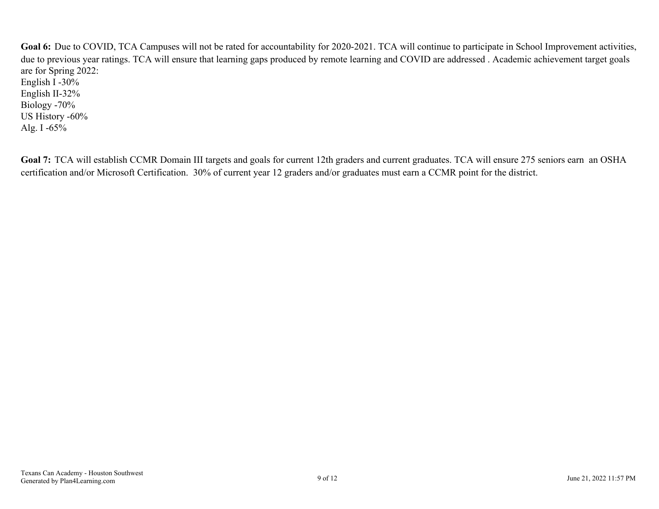<span id="page-8-0"></span>Goal 6: Due to COVID, TCA Campuses will not be rated for accountability for 2020-2021. TCA will continue to participate in School Improvement activities, due to previous year ratings. TCA will ensure that learning gaps produced by remote learning and COVID are addressed . Academic achievement target goals are for Spring 2022: English I -30% English II-32% Biology -70% US History -60% Alg. I -65%

Goal 7: TCA will establish CCMR Domain III targets and goals for current 12th graders and current graduates. TCA will ensure 275 seniors earn an OSHA certification and/or Microsoft Certification. 30% of current year 12 graders and/or graduates must earn a CCMR point for the district.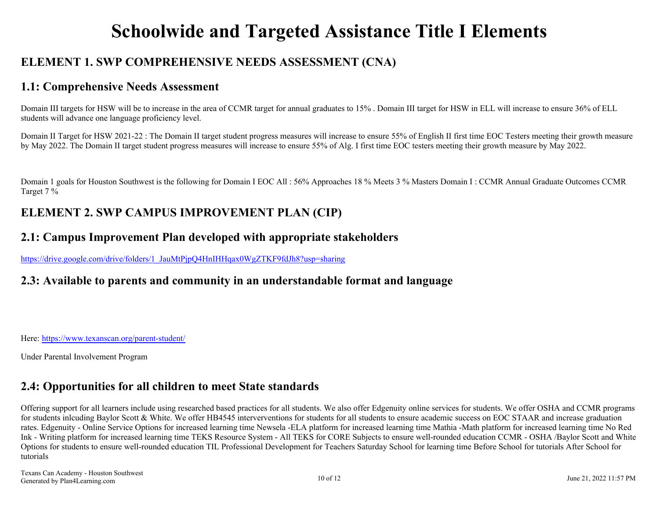# **Schoolwide and Targeted Assistance Title I Elements**

# <span id="page-9-0"></span>**ELEMENT 1. SWP COMPREHENSIVE NEEDS ASSESSMENT (CNA)**

### **1.1: Comprehensive Needs Assessment**

Domain III targets for HSW will be to increase in the area of CCMR target for annual graduates to 15%. Domain III target for HSW in ELL will increase to ensure 36% of ELL students will advance one language proficiency level.

Domain II Target for HSW 2021-22 : The Domain II target student progress measures will increase to ensure 55% of English II first time EOC Testers meeting their growth measure by May 2022. The Domain II target student progress measures will increase to ensure 55% of Alg. I first time EOC testers meeting their growth measure by May 2022.

Domain 1 goals for Houston Southwest is the following for Domain I EOC All : 56% Approaches 18 % Meets 3 % Masters Domain I : CCMR Annual Graduate Outcomes CCMR Target 7 %

# **ELEMENT 2. SWP CAMPUS IMPROVEMENT PLAN (CIP)**

### **2.1: Campus Improvement Plan developed with appropriate stakeholders**

[https://drive.google.com/drive/folders/1\\_JauMtPjpQ4HnIHHqax0WgZTKF9fdJh8?usp=sharing](https://drive.google.com/drive/folders/1_JauMtPjpQ4HnIHHqax0WgZTKF9fdJh8?usp=sharing)

### **2.3: Available to parents and community in an understandable format and language**

Here:<https://www.texanscan.org/parent-student/>

Under Parental Involvement Program

### **2.4: Opportunities for all children to meet State standards**

Offering support for all learners include using researched based practices for all students. We also offer Edgenuity online services for students. We offer OSHA and CCMR programs for students inlcuding Baylor Scott & White. We offer HB4545 interverventions for students for all students to ensure academic success on EOC STAAR and increase graduation rates. Edgenuity - Online Service Options for increased learning time Newsela -ELA platform for increased learning time Mathia -Math platform for increased learning time No Red Ink - Writing platform for increased learning time TEKS Resource System - All TEKS for CORE Subjects to ensure well-rounded education CCMR - OSHA /Baylor Scott and White Options for students to ensure well-rounded education TIL Professional Development for Teachers Saturday School for learning time Before School for tutorials After School for tutorials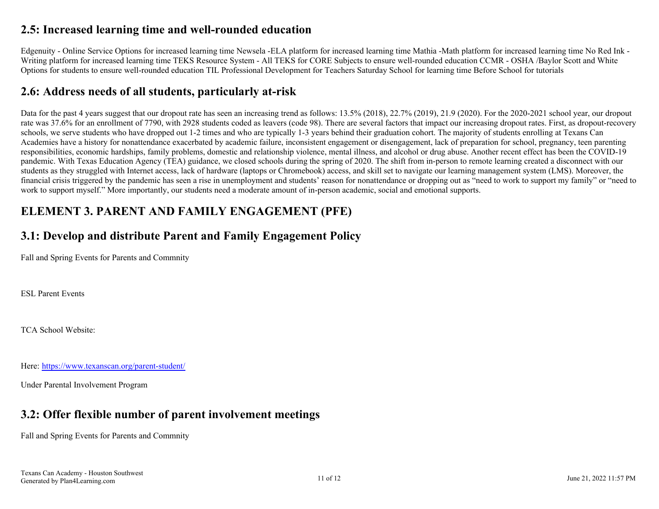### <span id="page-10-0"></span>**2.5: Increased learning time and well-rounded education**

Edgenuity - Online Service Options for increased learning time Newsela -ELA platform for increased learning time Mathia -Math platform for increased learning time No Red Ink - Writing platform for increased learning time TEKS Resource System - All TEKS for CORE Subjects to ensure well-rounded education CCMR - OSHA /Baylor Scott and White Options for students to ensure well-rounded education TIL Professional Development for Teachers Saturday School for learning time Before School for tutorials

# **2.6: Address needs of all students, particularly at-risk**

Data for the past 4 years suggest that our dropout rate has seen an increasing trend as follows: 13.5% (2018), 22.7% (2019), 21.9 (2020). For the 2020-2021 school year, our dropout rate was 37.6% for an enrollment of 7790, with 2928 students coded as leavers (code 98). There are several factors that impact our increasing dropout rates. First, as dropout-recovery schools, we serve students who have dropped out 1-2 times and who are typically 1-3 years behind their graduation cohort. The majority of students enrolling at Texans Can Academies have a history for nonattendance exacerbated by academic failure, inconsistent engagement or disengagement, lack of preparation for school, pregnancy, teen parenting responsibilities, economic hardships, family problems, domestic and relationship violence, mental illness, and alcohol or drug abuse. Another recent effect has been the COVID-19 pandemic. With Texas Education Agency (TEA) guidance, we closed schools during the spring of 2020. The shift from in-person to remote learning created a disconnect with our students as they struggled with Internet access, lack of hardware (laptops or Chromebook) access, and skill set to navigate our learning management system (LMS). Moreover, the financial crisis triggered by the pandemic has seen a rise in unemployment and students' reason for nonattendance or dropping out as "need to work to support my family" or "need to work to support myself." More importantly, our students need a moderate amount of in-person academic, social and emotional supports.

# **ELEMENT 3. PARENT AND FAMILY ENGAGEMENT (PFE)**

# **3.1: Develop and distribute Parent and Family Engagement Policy**

Fall and Spring Events for Parents and Commnity

ESL Parent Events

TCA School Website:

Here:<https://www.texanscan.org/parent-student/>

Under Parental Involvement Program

# **3.2: Offer flexible number of parent involvement meetings**

Fall and Spring Events for Parents and Commnity